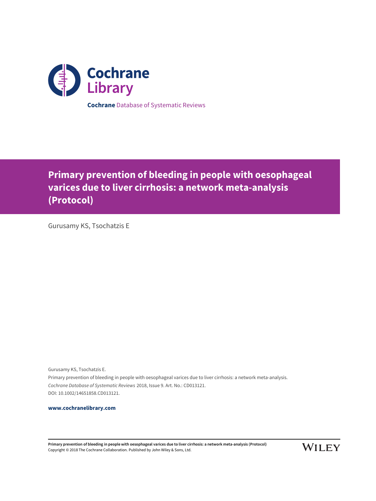

# **Primary prevention of bleeding in people with oesophageal varices due to liver cirrhosis: a network meta-analysis (Protocol)**

Gurusamy KS, Tsochatzis E

Gurusamy KS, Tsochatzis E. Primary prevention of bleeding in people with oesophageal varices due to liver cirrhosis: a network meta-analysis. Cochrane Database of Systematic Reviews 2018, Issue 9. Art. No.: CD013121. DOI: 10.1002/14651858.CD013121.

# **[www.cochranelibrary.com](http://www.cochranelibrary.com)**

**Primary prevention of bleeding in people with oesophageal varices due to liver cirrhosis: a network meta-analysis (Protocol)** Copyright © 2018 The Cochrane Collaboration. Published by John Wiley & Sons, Ltd.

**WILEY**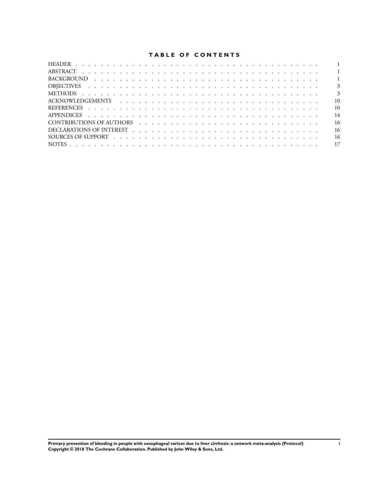# **TABLE OF CONTENTS**

|                                                                                                                | $\sim$ 1                 |
|----------------------------------------------------------------------------------------------------------------|--------------------------|
|                                                                                                                | $\overline{\phantom{a}}$ |
|                                                                                                                | $\overline{\mathbf{3}}$  |
|                                                                                                                | 10                       |
|                                                                                                                | 10                       |
|                                                                                                                | 14                       |
| CONTRIBUTIONS OF AUTHORS (et al., et al., et al., et al., et al., et al., et al., et al., et al., et al., et a | -16                      |
|                                                                                                                | -16                      |
|                                                                                                                | 16                       |
|                                                                                                                |                          |

**Primary prevention of bleeding in people with oesophageal varices due to liver cirrhosis: a network meta-analysis (Protocol) i Copyright © 2018 The Cochrane Collaboration. Published by John Wiley & Sons, Ltd.**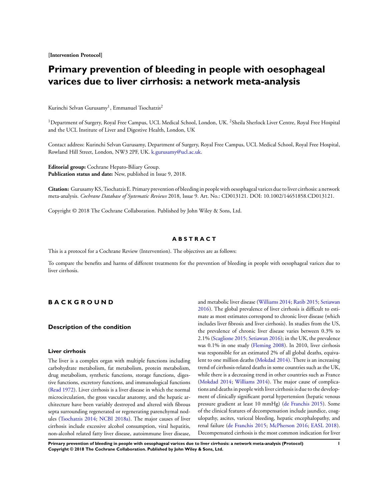<span id="page-2-0"></span>**[Intervention Protocol]**

# **Primary prevention of bleeding in people with oesophageal varices due to liver cirrhosis: a network meta-analysis**

Kurinchi Selvan Gurusamy<sup>1</sup>, Emmanuel Tsochatzis<sup>2</sup>

<sup>1</sup>Department of Surgery, Royal Free Campus, UCL Medical School, London, UK. <sup>2</sup>Sheila Sherlock Liver Centre, Royal Free Hospital and the UCL Institute of Liver and Digestive Health, London, UK

Contact address: Kurinchi Selvan Gurusamy, Department of Surgery, Royal Free Campus, UCL Medical School, Royal Free Hospital, Rowland Hill Street, London, NW3 2PF, UK. [k.gurusamy@ucl.ac.uk.](mailto:k.gurusamy@ucl.ac.uk)

**Editorial group:** Cochrane Hepato-Biliary Group. **Publication status and date:** New, published in Issue 9, 2018.

**Citation:** Gurusamy KS, Tsochatzis E. Primary prevention of bleeding in people with oesophageal varices due to liver cirrhosis: a network meta-analysis. *Cochrane Database of Systematic Reviews* 2018, Issue 9. Art. No.: CD013121. DOI: 10.1002/14651858.CD013121.

Copyright © 2018 The Cochrane Collaboration. Published by John Wiley & Sons, Ltd.

# **A B S T R A C T**

This is a protocol for a Cochrane Review (Intervention). The objectives are as follows:

To compare the benefits and harms of different treatments for the prevention of bleeding in people with oesophageal varices due to liver cirrhosis.

# **B A C K G R O U N D**

# **Description of the condition**

# **Liver cirrhosis**

The liver is a complex organ with multiple functions including carbohydrate metabolism, fat metabolism, protein metabolism, drug metabolism, synthetic functions, storage functions, digestive functions, excretory functions, and immunological functions [\(Read 1972\)](#page-11-0). Liver cirrhosis is a liver disease in which the normal microcirculation, the gross vascular anatomy, and the hepatic architecture have been variably destroyed and altered with fibrous septa surrounding regenerated or regenerating parenchymal nodules [\(Tsochatzis 2014;](#page-11-0) [NCBI 2018a\)](#page-11-0). The major causes of liver cirrhosis include excessive alcohol consumption, viral hepatitis, non-alcohol related fatty liver disease, autoimmune liver disease,

and metabolic liver disease ([Williams 2014](#page-11-0); [Ratib 2015](#page-11-0); [Setiawan](#page-11-0) [2016](#page-11-0)). The global prevalence of liver cirrhosis is difficult to estimate as most estimates correspond to chronic liver disease (which includes liver fibrosis and liver cirrhosis). In studies from the US, the prevalence of chronic liver disease varies between 0.3% to 2.1% ([Scaglione 2015](#page-11-0); [Setiawan 2016](#page-11-0)); in the UK, the prevalence was 0.1% in one study [\(Fleming 2008\)](#page-11-0). In 2010, liver cirrhosis was responsible for an estimated 2% of all global deaths, equivalent to one million deaths ([Mokdad 2014](#page-11-0)). There is an increasing trend of cirrhosis-related deaths in some countries such as the UK, while there is a decreasing trend in other countries such as France [\(Mokdad 2014;](#page-11-0) [Williams 2014](#page-11-0)). The major cause of complications and deaths in people with liver cirrhosis is due to the development of clinically significant portal hypertension (hepatic venous pressure gradient at least 10 mmHg) [\(de Franchis 2015\)](#page-11-0). Some of the clinical features of decompensation include jaundice, coagulopathy, ascites, variceal bleeding, hepatic encephalopathy, and renal failure [\(de Franchis 2015;](#page-11-0) [McPherson 2016](#page-11-0); [EASL 2018](#page-11-0)). Decompensated cirrhosis is the most common indication for liver

**Primary prevention of bleeding in people with oesophageal varices due to liver cirrhosis: a network meta-analysis (Protocol) 1 Copyright © 2018 The Cochrane Collaboration. Published by John Wiley & Sons, Ltd.**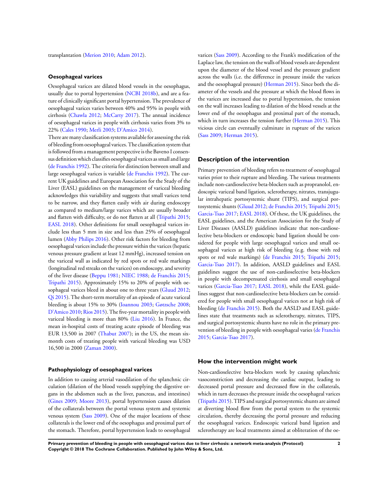transplantation [\(Merion 2010](#page-11-0); [Adam 2012\)](#page-11-0).

# **Oesophageal varices**

Oesophageal varices are dilated blood vessels in the oesophagus, usually due to portal hypertension ([NCBI 2018b](#page-11-0)), and are a feature of clinically significant portal hypertension. The prevalence of oesophageal varices varies between 40% and 95% in people with cirrhosis [\(Chawla 2012;](#page-11-0) [McCarty 2017](#page-11-0)). The annual incidence of oesophageal varices in people with cirrhosis varies from 3% to 22% ([Cales 1990;](#page-11-0) [Merli 2003;](#page-11-0) [D'Amico 2014](#page-11-0)).

There are many classification systems available for assessing the risk of bleeding from oesophageal varices. The classification system that is followed from a management perspective is the Baveno I consensus definition which classifies oesophageal varices as small and large [\(de Franchis 1992](#page-11-0)). The criteria for distinction between small and large oesophageal varices is variable [\(de Franchis 1992](#page-11-0)). The current UK guidelines and European Association for the Study of the Liver (EASL) guidelines on the management of variceal bleeding acknowledges this variability and suggests that small varices tend to be narrow, and they flatten easily with air during endoscopy as compared to medium/large varices which are usually broader and flatten with difficulty, or do not flatten at all ([Tripathi 2015;](#page-11-0) [EASL 2018](#page-11-0)). Other definitions for small oesophageal varices include less than 5 mm in size and less than 25% of oesophageal lumen ([Abby Philips 2016\)](#page-11-0). Other risk factors for bleeding from oesophageal varices include the pressure within the varices (hepatic venous pressure gradient at least 12 mmHg), increased tension on the variceal wall as indicated by red spots or red wale markings (longitudinal red streaks on the varices) on endoscopy, and severity of the liver disease ([Beppu 1981;](#page-11-0) [NIEC 1988](#page-11-0); [de Franchis 2015;](#page-11-0) [Tripathi 2015](#page-11-0)). Approximately 15% to 20% of people with oe-sophageal varices bleed in about one to three years ([Gluud 2012;](#page-11-0) [Qi 2015](#page-11-0)). The short-term mortality of an episode of acute variceal bleeding is about 15% to 30% ([Ioannou 2003](#page-11-0); [Gøtzsche 2008;](#page-11-0) [D'Amico 2010;](#page-11-0) [Rios 2015](#page-11-0)). The five-year mortality in people with variceal bleeding is more than 80% [\(Liu 2016](#page-11-0)). In France, the mean in-hospital costs of treating acute episode of bleeding was EUR 13,500 in 2007 [\(Thabut 2007](#page-11-0)); in the US, the mean sixmonth costs of treating people with variceal bleeding was USD 16,500 in 2000 ([Zaman 2000\)](#page-11-0).

#### **Pathophysiology of oesophageal varices**

In addition to causing arterial vasodilation of the splanchnic circulation (dilation of the blood vessels supplying the digestive organs in the abdomen such as the liver, pancreas, and intestines) [\(Gines 2009](#page-11-0); [Moore 2013\)](#page-11-0), portal hypertension causes dilation of the collaterals between the portal venous system and systemic venous system [\(Sass 2009\)](#page-11-0). One of the major locations of these collaterals is the lower end of the oesophagus and proximal part of the stomach. Therefore, portal hypertension leads to oesophageal

varices [\(Sass 2009\)](#page-11-0). According to the Frank's modification of the Laplace law, the tension on the walls of blood vessels are dependent upon the diameter of the blood vessel and the pressure gradient across the walls (i.e. the difference in pressure inside the varices and the oesophageal pressure) [\(Herman 2015](#page-11-0)). Since both the diameter of the vessels and the pressure at which the blood flows in the varices are increased due to portal hypertension, the tension on the wall increases leading to dilation of the blood vessels at the lower end of the oesophagus and proximal part of the stomach, which in turn increases the tension further ([Herman 2015](#page-11-0)). This vicious circle can eventually culminate in rupture of the varices [\(Sass 2009](#page-11-0); [Herman 2015\)](#page-11-0).

## **Description of the intervention**

Primary prevention of bleeding refers to treatment of oesophageal varies prior to their rupture and bleeding. The various treatments include non-cardioselective beta-blockers such as propranolol, endoscopic variceal band ligation, sclerotherapy, nitrates, transjugular intrahepatic portosystemic shunt (TIPS), and surgical portosystemic shunts [\(Gluud 2012;](#page-11-0) [de Franchis 2015](#page-11-0); [Tripathi 2015;](#page-11-0) [Garcia-Tsao 2017;](#page-11-0) [EASL 2018\)](#page-11-0). Of these, the UK guidelines, the EASL guidelines, and the American Association for the Study of Liver Diseases (AASLD) guidelines indicate that non-cardioselective beta-blockers or endoscopic band ligation should be considered for people with large oesophageal varices and small oesophageal varices at high risk of bleeding (e.g. those with red spots or red wale markings) ([de Franchis 2015](#page-11-0); [Tripathi 2015;](#page-11-0) [Garcia-Tsao 2017](#page-11-0)). In addition, AASLD guidelines and EASL guidelines suggest the use of non-cardioselective beta-blockers in people with decompensated cirrhosis and small oesophageal varices ([Garcia-Tsao 2017](#page-11-0); [EASL 2018](#page-11-0)), while the EASL guidelines suggest that non-cardioselective beta-blockers can be considered for people with small oesophageal varices not at high risk of bleeding ([de Franchis 2015](#page-11-0)). Both the AASLD and EASL guidelines state that treatments such as sclerotherapy, nitrates, TIPS, and surgical portosystemic shunts have no role in the primary prevention of bleeding in people with oesophageal varies ([de Franchis](#page-11-0) [2015](#page-11-0); [Garcia-Tsao 2017\)](#page-11-0).

# **How the intervention might work**

Non-cardioselective beta-blockers work by causing splanchnic vasoconstriction and decreasing the cardiac output, leading to decreased portal pressure and decreased flow in the collaterals, which in turn decreases the pressure inside the oesophageal varices [\(Tripathi 2015](#page-11-0)). TIPS and surgical portosystemic shunts are aimed at diverting blood flow from the portal system to the systemic circulation, thereby decreasing the portal pressure and reducing the oesophageal varices. Endoscopic variceal band ligation and sclerotherapy are local treatments aimed at obliteration of the oe-

**Primary prevention of bleeding in people with oesophageal varices due to liver cirrhosis: a network meta-analysis (Protocol) 2 Copyright © 2018 The Cochrane Collaboration. Published by John Wiley & Sons, Ltd.**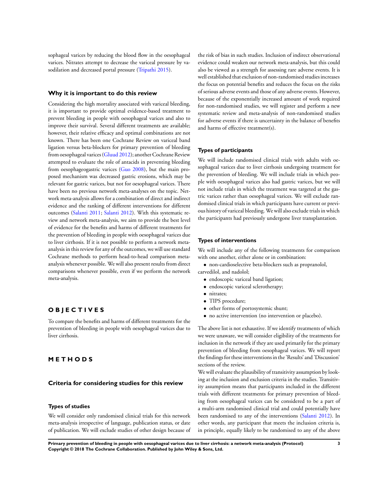sophageal varices by reducing the blood flow in the oesophageal varices. Nitrates attempt to decrease the variceal pressure by vasodilation and decreased portal pressure ([Tripathi 2015](#page-11-0)).

# **Why it is important to do this review**

Considering the high mortality associated with variceal bleeding, it is important to provide optimal evidence-based treatment to prevent bleeding in people with oesophageal varices and also to improve their survival. Several different treatments are available; however, their relative efficacy and optimal combinations are not known. There has been one Cochrane Review on variceal band ligation versus beta-blockers for primary prevention of bleeding from oesophageal varices [\(Gluud 2012\)](#page-11-0); another Cochrane Review attempted to evaluate the role of antacids in preventing bleeding from oesophageogastric varices ([Guo 2008\)](#page-11-0), but the main proposed mechanism was decreased gastric erosions, which may be relevant for gastric varices, but not for oesophageal varices. There have been no previous network meta-analyses on the topic. Network meta-analysis allows for a combination of direct and indirect evidence and the ranking of different interventions for different outcomes [\(Salanti 2011;](#page-11-0) [Salanti 2012](#page-11-0)). With this systematic review and network meta-analysis, we aim to provide the best level of evidence for the benefits and harms of different treatments for the prevention of bleeding in people with oesophageal varices due to liver cirrhosis. If it is not possible to perform a network metaanalysis in this review for any of the outcomes, we will use standard Cochrane methods to perform head-to-head comparison metaanalysis whenever possible. We will also present results from direct comparisons whenever possible, even if we perform the network meta-analysis.

# **O B J E C T I V E S**

To compare the benefits and harms of different treatments for the prevention of bleeding in people with oesophageal varices due to liver cirrhosis.

# **M E T H O D S**

# **Criteria for considering studies for this review**

# **Types of studies**

We will consider only randomised clinical trials for this network meta-analysis irrespective of language, publication status, or date of publication. We will exclude studies of other design because of

the risk of bias in such studies. Inclusion of indirect observational evidence could weaken our network meta-analysis, but this could also be viewed as a strength for assessing rare adverse events. It is well established that exclusion of non-randomised studies increases the focus on potential benefits and reduces the focus on the risks of serious adverse events and those of any adverse events. However, because of the exponentially increased amount of work required for non-randomised studies, we will register and perform a new systematic review and meta-analysis of non-randomised studies for adverse events if there is uncertainty in the balance of benefits and harms of effective treatment(s).

# **Types of participants**

We will include randomised clinical trials with adults with oesophageal varices due to liver cirrhosis undergoing treatment for the prevention of bleeding. We will include trials in which people with oesophageal varices also had gastric varices, but we will not include trials in which the treatment was targeted at the gastric varices rather than oesophageal varices. We will exclude randomised clinical trials in which participants have current or previous history of variceal bleeding. We will also exclude trials in which the participants had previously undergone liver transplantation.

## **Types of interventions**

We will include any of the following treatments for comparison with one another, either alone or in combination:

- non-cardioselective beta-blockers such as propranolol, carvedilol, and nadolol;
	- endoscopic variceal band ligation;
	- endoscopic variceal sclerotherapy;
	- nitrates:
	- TIPS procedure;
	- other forms of portosystemic shunt;
	- no active intervention (no intervention or placebo).

The above list is not exhaustive. If we identify treatments of which we were unaware, we will consider eligibility of the treatments for inclusion in the network if they are used primarily for the primary prevention of bleeding from oesophageal varices. We will report the findings for these interventions in the 'Results' and 'Discussion' sections of the review.

We will evaluate the plausibility of transitivity assumption by looking at the inclusion and exclusion criteria in the studies. Transitivity assumption means that participants included in the different trials with different treatments for primary prevention of bleeding from oesophageal varices can be considered to be a part of a multi-arm randomised clinical trial and could potentially have been randomised to any of the interventions ([Salanti 2012](#page-11-0)). In other words, any participant that meets the inclusion criteria is, in principle, equally likely to be randomised to any of the above

**Primary prevention of bleeding in people with oesophageal varices due to liver cirrhosis: a network meta-analysis (Protocol) 3 Copyright © 2018 The Cochrane Collaboration. Published by John Wiley & Sons, Ltd.**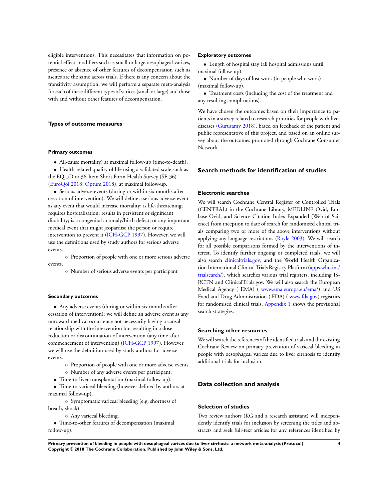eligible interventions. This necessitates that information on potential effect-modifiers such as small or large oesophageal varices, presence or absence of other features of decompensation such as ascites are the same across trials. If there is any concern about the transitivity assumption, we will perform a separate meta-analysis for each of these different types of varices (small or large) and those with and without other features of decompensation.

# **Types of outcome measures**

## **Primary outcomes**

• All-cause mortality) at maximal follow-up (time-to-death).

• Health-related quality of life using a validated scale such as the EQ-5D or 36-Item Short Form Health Survey (SF-36) [\(EuroQol 2018](#page-11-0); [Optum 2018\)](#page-11-0), at maximal follow-up.

• Serious adverse events (during or within six months after cessation of intervention). We will define a serious adverse event as any event that would increase mortality; is life-threatening; requires hospitalisation; results in persistent or significant disability; is a congenital anomaly/birth defect; or any important medical event that might jeopardise the person or require intervention to prevent it ([ICH-GCP 1997\)](#page-11-0). However, we will use the definitions used by study authors for serious adverse events.

◦ Proportion of people with one or more serious adverse events.

◦ Number of serious adverse events per participant

#### **Secondary outcomes**

• Any adverse events (during or within six months after cessation of intervention): we will define an adverse event as any untoward medical occurrence not necessarily having a causal relationship with the intervention but resulting in a dose reduction or discontinuation of intervention (any time after commencement of intervention) [\(ICH-GCP 1997\)](#page-11-0). However, we will use the definition used by study authors for adverse events.

- Proportion of people with one or more adverse events.
- Number of any adverse events per participant.
- Time-to-liver transplantation (maximal follow-up).

• Time-to-variceal bleeding (however defined by authors at maximal follow-up).

◦ Symptomatic variceal bleeding (e.g. shortness of breath, shock).

◦ Any variceal bleeding.

• Time-to-other features of decompensation (maximal follow-up).

#### **Exploratory outcomes**

• Length of hospital stay (all hospital admissions until maximal follow-up).

• Number of days of lost work (in people who work) (maximal follow-up).

• Treatment costs (including the cost of the treatment and any resulting complications).

We have chosen the outcomes based on their importance to patients in a survey related to research priorities for people with liver diseases ([Gurusamy 2018\)](#page-11-0), based on feedback of the patient and public representative of this project, and based on an online survey about the outcomes promoted through Cochrane Consumer Network.

# **Search methods for identification of studies**

#### **Electronic searches**

We will search Cochrane Central Register of Controlled Trials (CENTRAL) in the Cochrane Library, MEDLINE Ovid, Embase Ovid, and Science Citation Index Expanded (Web of Science) from inception to date of search for randomised clinical trials comparing two or more of the above interventions without applying any language restrictions [\(Royle 2003\)](#page-11-0). We will search for all possible comparisons formed by the interventions of interest. To identify further ongoing or completed trials, we will also search [clinicaltrials.gov,](https://clinicaltrials.gov/) and the World Health Organization International Clinical Trials Registry Platform ([apps.who.int/](http://apps.who.int/trialsearch/) [trialsearch/](http://apps.who.int/trialsearch/)), which searches various trial registers, including IS-RCTN and ClinicalTrials.gov. We will also search the European Medical Agency ( EMA) ( [www.ema.europa.eu/ema/\)](http://www.ema.europa.eu/ema/) and US Food and Drug Administration ( FDA) ( [www.fda.gov\)](http://www.fda.gov) registries for randomised clinical trials. [Appendix 1](#page-15-0) shows the provisional search strategies.

## **Searching other resources**

We will search the references of the identified trials and the existing Cochrane Review on primary prevention of variceal bleeding in people with oesophageal varices due to liver cirrhosis to identify additional trials for inclusion.

# **Data collection and analysis**

# **Selection of studies**

Two review authors (KG and a research assistant) will independently identify trials for inclusion by screening the titles and abstracts and seek full-text articles for any references identified by

**Primary prevention of bleeding in people with oesophageal varices due to liver cirrhosis: a network meta-analysis (Protocol) 4 Copyright © 2018 The Cochrane Collaboration. Published by John Wiley & Sons, Ltd.**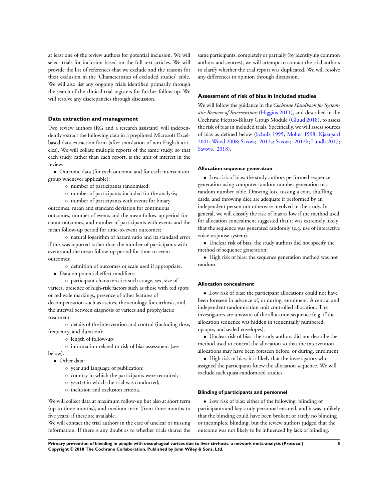at least one of the review authors for potential inclusion. We will select trials for inclusion based on the full-text articles. We will provide the list of references that we exclude and the reasons for their exclusion in the 'Characteristics of excluded studies' table. We will also list any ongoing trials identified primarily through the search of the clinical trial registers for further follow-up. We will resolve any discrepancies through discussion.

# **Data extraction and management**

Two review authors (KG and a research assistant) will independently extract the following data in a prepiloted Microsoft Excelbased data extraction form (after translation of non-English articles). We will collate multiple reports of the same study, so that each study, rather than each report, is the unit of interest in the review.

• Outcome data (for each outcome and for each intervention group whenever applicable):

- number of participants randomised;
- number of participants included for the analysis;

◦ number of participants with events for binary outcomes, mean and standard deviation for continuous outcomes, number of events and the mean follow-up period for count outcomes, and number of participants with events and the mean follow-up period for time-to-event outcomes;

◦ natural logarithm of hazard ratio and its standard error if this was reported rather than the number of participants with events and the mean follow-up period for time-to-event outcomes;

- definition of outcomes or scale used if appropriate.
- Data on potential effect modifiers:

◦ participant characteristics such as age, sex, size of varices, presence of high-risk factors such as those with red spots or red wale markings, presence of other features of decompensation such as ascites, the aetiology for cirrhosis, and the interval between diagnosis of varices and prophylactic treatment;

◦ details of the intervention and control (including dose, frequency, and duration);

◦ length of follow-up;

◦ information related to risk of bias assessment (see

below).

• Other data:

- year and language of publication;
- country in which the participants were recruited;
- year(s) in which the trial was conducted;
- inclusion and exclusion criteria.

We will collect data at maximum follow-up but also at short term (up to three months), and medium term (from three months to five years) if these are available.

We will contact the trial authors in the case of unclear or missing information. If there is any doubt as to whether trials shared the same participants, completely or partially (by identifying common authors and centres), we will attempt to contact the trial authors to clarify whether the trial report was duplicated. We will resolve any differences in opinion through discussion.

# **Assessment of risk of bias in included studies**

We will follow the guidance in the *Cochrane Handbook for Systematic Reviews of Interventions* ([Higgins 2011](#page-11-0)), and described in the Cochrane Hepato-Biliary Group Module [\(Gluud 2018\)](#page-11-0), to assess the risk of bias in included trials. Specifically, we will assess sources of bias as defined below ([Schulz 1995](#page-11-0); [Moher 1998](#page-11-0); [Kjaergard](#page-11-0) [2001](#page-11-0); [Wood 2008;](#page-11-0) [Savovi](#page-11-0)e [2012a](#page-11-0); Savovie [2012b](#page-11-0); [Lundh 2017;](#page-11-0) [Savovi](#page-11-0)<sup>2</sup> [2018\)](#page-11-0).

# **Allocation sequence generation**

• Low risk of bias: the study authors performed sequence generation using computer random number generation or a random number table. Drawing lots, tossing a coin, shuffling cards, and throwing dice are adequate if performed by an independent person not otherwise involved in the study. In general, we will classify the risk of bias as low if the method used for allocation concealment suggested that it was extremely likely that the sequence was generated randomly (e.g. use of interactive voice response system).

• Unclear risk of bias: the study authors did not specify the method of sequence generation.

• High risk of bias: the sequence generation method was not random.

#### **Allocation concealment**

• Low risk of bias: the participant allocations could not have been foreseen in advance of, or during, enrolment. A central and independent randomisation unit controlled allocation. The investigators are unaware of the allocation sequence (e.g. if the allocation sequence was hidden in sequentially numbered, opaque, and sealed envelopes).

• Unclear risk of bias: the study authors did not describe the method used to conceal the allocation so that the intervention allocations may have been foreseen before, or during, enrolment.

• High risk of bias: it is likely that the investigators who assigned the participants knew the allocation sequence. We will exclude such quasi-randomised studies.

#### **Blinding of participants and personnel**

• Low risk of bias: either of the following: blinding of participants and key study personnel ensured, and it was unlikely that the blinding could have been broken; or rarely no blinding or incomplete blinding, but the review authors judged that the outcome was not likely to be influenced by lack of blinding.

**Primary prevention of bleeding in people with oesophageal varices due to liver cirrhosis: a network meta-analysis (Protocol) 5 Copyright © 2018 The Cochrane Collaboration. Published by John Wiley & Sons, Ltd.**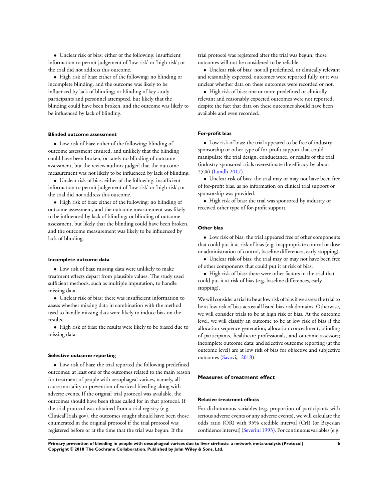• Unclear risk of bias: either of the following: insufficient information to permit judgement of 'low risk' or 'high risk'; or the trial did not address this outcome.

• High risk of bias: either of the following: no blinding or incomplete blinding, and the outcome was likely to be influenced by lack of blinding; or blinding of key study participants and personnel attempted, but likely that the blinding could have been broken, and the outcome was likely to be influenced by lack of blinding.

## **Blinded outcome assessment**

• Low risk of bias: either of the following: blinding of outcome assessment ensured, and unlikely that the blinding could have been broken; or rarely no blinding of outcome assessment, but the review authors judged that the outcome measurement was not likely to be influenced by lack of blinding.

• Unclear risk of bias: either of the following: insufficient information to permit judgement of 'low risk' or 'high risk'; or the trial did not address this outcome.

• High risk of bias: either of the following: no blinding of outcome assessment, and the outcome measurement was likely to be influenced by lack of blinding; or blinding of outcome assessment, but likely that the blinding could have been broken, and the outcome measurement was likely to be influenced by lack of blinding.

#### **Incomplete outcome data**

• Low risk of bias: missing data were unlikely to make treatment effects depart from plausible values. The study used sufficient methods, such as multiple imputation, to handle missing data.

• Unclear risk of bias: there was insufficient information to assess whether missing data in combination with the method used to handle missing data were likely to induce bias on the results.

• High risk of bias: the results were likely to be biased due to missing data.

## **Selective outcome reporting**

• Low risk of bias: the trial reported the following predefined outcomes: at least one of the outcomes related to the main reason for treatment of people with oesophageal varices, namely, allcause mortality or prevention of variceal bleeding along with adverse events. If the original trial protocol was available, the outcomes should have been those called for in that protocol. If the trial protocol was obtained from a trial registry (e.g. ClinicalTrials.gov), the outcomes sought should have been those enumerated in the original protocol if the trial protocol was registered before or at the time that the trial was begun. If the

trial protocol was registered after the trial was begun, those outcomes will not be considered to be reliable.

• Unclear risk of bias: not all predefined, or clinically relevant and reasonably expected, outcomes were reported fully, or it was unclear whether data on these outcomes were recorded or not.

• High risk of bias: one or more predefined or clinically relevant and reasonably expected outcomes were not reported, despite the fact that data on these outcomes should have been available and even recorded.

#### **For-profit bias**

• Low risk of bias: the trial appeared to be free of industry sponsorship or other type of for-profit support that could manipulate the trial design, conductance, or results of the trial (industry-sponsored trials overestimate the efficacy by about 25%) ([Lundh 2017](#page-11-0)).

• Unclear risk of bias: the trial may or may not have been free of for-profit bias, as no information on clinical trial support or sponsorship was provided.

• High risk of bias: the trial was sponsored by industry or received other type of for-profit support.

#### **Other bias**

• Low risk of bias: the trial appeared free of other components that could put it at risk of bias (e.g. inappropriate control or dose or administration of control, baseline differences, early stopping).

• Unclear risk of bias: the trial may or may not have been free of other components that could put it at risk of bias.

• High risk of bias: there were other factors in the trial that could put it at risk of bias (e.g. baseline differences, early stopping).

We will consider a trial to be at low risk of bias if we assess the trial to be at low risk of bias across all listed bias risk domains. Otherwise, we will consider trials to be at high risk of bias. At the outcome level, we will classify an outcome to be at low risk of bias if the allocation sequence generation; allocation concealment; blinding of participants, healthcare professionals, and outcome assessors; incomplete outcome data; and selective outcome reporting (at the outcome level) are at low risk of bias for objective and subjective outcomes ([Savovi](#page-11-0)c [2018](#page-11-0)).

# **Measures of treatment effect**

# **Relative treatment effects**

For dichotomous variables (e.g. proportion of participants with serious adverse events or any adverse events), we will calculate the odds ratio (OR) with 95% credible interval (CrI) (or Bayesian confidence interval) [\(Severini 1993](#page-11-0)). For continuous variables (e.g.

**Primary prevention of bleeding in people with oesophageal varices due to liver cirrhosis: a network meta-analysis (Protocol) 6 Copyright © 2018 The Cochrane Collaboration. Published by John Wiley & Sons, Ltd.**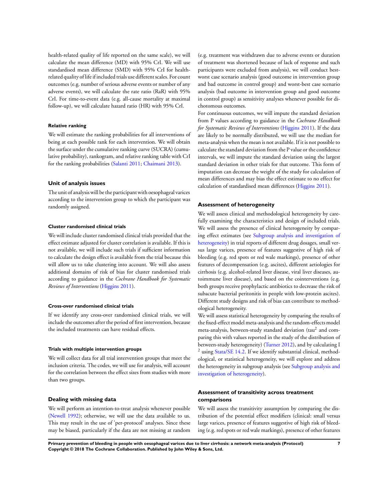health-related quality of life reported on the same scale), we will calculate the mean difference (MD) with 95% CrI. We will use standardised mean difference (SMD) with 95% CrI for healthrelated quality of life if included trials use different scales. For count outcomes (e.g. number of serious adverse events or number of any adverse events), we will calculate the rate ratio (RaR) with 95% CrI. For time-to-event data (e.g. all-cause mortality at maximal follow-up), we will calculate hazard ratio (HR) with 95% CrI.

#### **Relative ranking**

We will estimate the ranking probabilities for all interventions of being at each possible rank for each intervention. We will obtain the surface under the cumulative ranking curve (SUCRA) (cumulative probability), rankogram, and relative ranking table with CrI for the ranking probabilities ([Salanti 2011](#page-11-0); [Chaimani 2013\)](#page-11-0).

## **Unit of analysis issues**

The unit of analysis will be the participant with oesophageal varices according to the intervention group to which the participant was randomly assigned.

#### **Cluster randomised clinical trials**

We will include cluster randomised clinical trials provided that the effect estimate adjusted for cluster correlation is available. If this is not available, we will include such trials if sufficient information to calculate the design effect is available from the trial because this will allow us to take clustering into account. We will also assess additional domains of risk of bias for cluster randomised trials according to guidance in the *Cochrane Handbook for Systematic Reviews of Interventions* ([Higgins 2011\)](#page-11-0).

# **Cross-over randomised clinical trials**

If we identify any cross-over randomised clinical trials, we will include the outcomes after the period of first intervention, because the included treatments can have residual effects.

#### **Trials with multiple intervention groups**

We will collect data for all trial intervention groups that meet the inclusion criteria. The codes, we will use for analysis, will account for the correlation between the effect sizes from studies with more than two groups.

# **Dealing with missing data**

We will perform an intention-to-treat analysis whenever possible [\(Newell 1992\)](#page-11-0); otherwise, we will use the data available to us. This may result in the use of 'per-protocol' analyses. Since these may be biased, particularly if the data are not missing at random (e.g. treatment was withdrawn due to adverse events or duration of treatment was shortened because of lack of response and such participants were excluded from analysis), we will conduct bestworst case scenario analysis (good outcome in intervention group and bad outcome in control group) and worst-best case scenario analysis (bad outcome in intervention group and good outcome in control group) as sensitivity analyses whenever possible for dichotomous outcomes.

For continuous outcomes, we will impute the standard deviation from P values according to guidance in the *Cochrane Handbook for Systematic Reviews of Interventions* ([Higgins 2011\)](#page-11-0). If the data are likely to be normally distributed, we will use the median for meta-analysis when the mean is not available. If it is not possible to calculate the standard deviation from the P value or the confidence intervals, we will impute the standard deviation using the largest standard deviation in other trials for that outcome. This form of imputation can decrease the weight of the study for calculation of mean differences and may bias the effect estimate to no effect for calculation of standardised mean differences [\(Higgins 2011\)](#page-11-0).

#### **Assessment of heterogeneity**

We will assess clinical and methodological heterogeneity by carefully examining the characteristics and design of included trials. We will assess the presence of clinical heterogeneity by comparing effect estimates (see [Subgroup analysis and investigation of](#page-2-0) [heterogeneity\)](#page-2-0) in trial reports of different drug dosages, small versus large varices, presence of features suggestive of high risk of bleeding (e.g. red spots or red wale markings), presence of other features of decompensation (e.g. ascites), different aetiologies for cirrhosis (e.g. alcohol-related liver disease, viral liver diseases, autoimmune liver disease), and based on the cointerventions (e.g. both groups receive prophylactic antibiotics to decrease the risk of subacute bacterial peritonitis in people with low-protein ascites). Different study designs and risk of bias can contribute to methodological heterogeneity.

We will assess statistical heterogeneity by comparing the results of the fixed-effect model meta-analysis and the random-effects model meta-analysis, between-study standard deviation (tau<sup>2</sup> and comparing this with values reported in the study of the distribution of between-study heterogeneity) ([Turner 2012](#page-11-0)), and by calculating I  $^{2}$  using [Stata/SE 14.2](#page-11-0). If we identify substantial clinical, methodological, or statistical heterogeneity, we will explore and address the heterogeneity in subgroup analysis (see [Subgroup analysis and](#page-2-0) [investigation of heterogeneity\)](#page-2-0).

# **Assessment of transitivity across treatment comparisons**

We will assess the transitivity assumption by comparing the distribution of the potential effect modifiers (clinical: small versus large varices, presence of features suggestive of high risk of bleeding (e.g. red spots or red wale markings), presence of other features

**Primary prevention of bleeding in people with oesophageal varices due to liver cirrhosis: a network meta-analysis (Protocol) 7 Copyright © 2018 The Cochrane Collaboration. Published by John Wiley & Sons, Ltd.**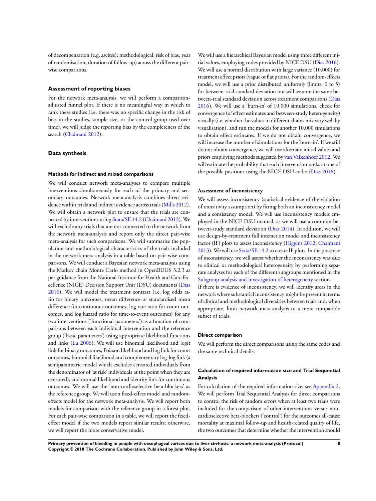of decompensation (e.g. ascites); methodological: risk of bias, year of randomisation, duration of follow-up) across the different pairwise comparisons.

## **Assessment of reporting biases**

For the network meta-analysis, we will perform a comparisonadjusted funnel plot. If there is no meaningful way in which to rank these studies (i.e. there was no specific change in the risk of bias in the studies, sample size, or the control group used over time), we will judge the reporting bias by the completeness of the search ([Chaimani 2012](#page-11-0)).

# **Data synthesis**

## **Methods for indirect and mixed comparisons**

We will conduct network meta-analyses to compare multiple interventions simultaneously for each of the primary and secondary outcomes. Network meta-analysis combines direct evidence within trials and indirect evidence across trials ([Mills 2012](#page-11-0)). We will obtain a network plot to ensure that the trials are connected by interventions using [Stata/SE 14.2](#page-11-0) ([Chaimani 2013](#page-11-0)). We will exclude any trials that are not connected to the network from the network meta-analysis and report only the direct pair-wise meta-analysis for such comparisons. We will summarise the population and methodological characteristics of the trials included in the network meta-analysis in a table based on pair-wise comparisons. We will conduct a Bayesian network meta-analysis using the Markov chain Monte Carlo method in OpenBUGS 3.2.3 as per guidance from the National Institute for Health and Care Excellence (NICE) Decision Support Unit (DSU) documents [\(Dias](#page-11-0) [2016](#page-11-0)). We will model the treatment contrast (i.e. log odds ratio for binary outcomes, mean difference or standardised mean difference for continuous outcomes, log rate ratio for count outcomes, and log hazard ratio for time-to-event outcomes) for any two interventions ('functional parameters') as a function of comparisons between each individual intervention and the reference group ('basic parameters') using appropriate likelihood functions and links [\(Lu 2006](#page-11-0)). We will use binomial likelihood and logit link for binary outcomes, Poisson likelihood and log link for count outcomes, binomial likelihood and complementary log-log link (a semiparametric model which excludes censored individuals from the denominator of 'at risk' individuals at the point when they are censored), and normal likelihood and identity link for continuous outcomes. We will use the 'non-cardioselective beta-blockers' as the reference group. We will use a fixed-effect model and randomeffects model for the network meta-analysis. We will report both models for comparison with the reference group in a forest plot. For each pair-wise comparison in a table, we will report the fixedeffect model if the two models report similar results; otherwise, we will report the more conservative model.

We will use a hierarchical Bayesian model using three different initial values, employing codes provided by NICE DSU ([Dias 2016](#page-11-0)). We will use a normal distribution with large variance (10,000) for treatment effect priors (vague or flat priors). For the random-effects model, we will use a prior distributed uniformly (limits: 0 to 5) for between-trial standard deviation but will assume the same between-trial standard deviation across treatment comparisons [\(Dias](#page-11-0) [2016](#page-11-0)). We will use a 'burn-in' of 10,000 simulations, check for convergence (of effect estimates and between-study heterogeneity) visually (i.e. whether the values in different chains mix very well by visualisation), and run the models for another 10,000 simulations to obtain effect estimates. If we do not obtain convergence, we will increase the number of simulations for the 'burn-in'. If we still do not obtain convergence, we will use alternate initial values and priors employing methods suggested by [van Valkenhoef 2012.](#page-11-0) We will estimate the probability that each intervention ranks at one of the possible positions using the NICE DSU codes ([Dias 2016](#page-11-0)).

## **Assessment of inconsistency**

We will assess inconsistency (statistical evidence of the violation of transitivity assumption) by fitting both an inconsistency model and a consistency model. We will use inconsistency models employed in the NICE DSU manual, as we will use a common between-study standard deviation ([Dias 2014\)](#page-11-0). In addition, we will use design-by-treatment full interaction model and inconsistency factor (IF) plots to assess inconsistency ([Higgins 2012](#page-11-0); [Chaimani](#page-11-0) [2013](#page-11-0)). We will use [Stata/SE 14.2](#page-11-0) to create IF plots. In the presence of inconsistency, we will assess whether the inconsistency was due to clinical or methodological heterogeneity by performing separate analyses for each of the different subgroups mentioned in the [Subgroup analysis and investigation of heterogeneity](#page-2-0) section.

If there is evidence of inconsistency, we will identify areas in the network where substantial inconsistency might be present in terms of clinical and methodological diversities between trials and, when appropriate, limit network meta-analysis to a more compatible subset of trials.

#### **Direct comparison**

We will perform the direct comparisons using the same codes and the same technical details.

# **Calculation of required information size and Trial Sequential Analysis**

For calculation of the required information size, see [Appendix 2.](#page-17-0) We will perform Trial Sequential Analysis for direct comparisons to control the risk of random errors when at least two trials were included for the comparison of other interventions versus noncardioselective beta-blockers ('control') for the outcomes all-cause mortality at maximal follow-up and health-related quality of life, the two outcomes that determine whether the intervention should

**Primary prevention of bleeding in people with oesophageal varices due to liver cirrhosis: a network meta-analysis (Protocol) 8 Copyright © 2018 The Cochrane Collaboration. Published by John Wiley & Sons, Ltd.**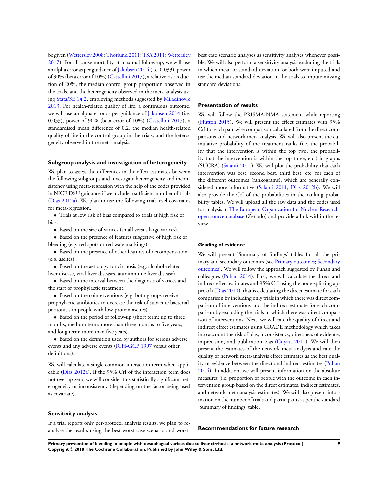be given ([Wetterslev 2008;](#page-11-0) [Thorlund 2011](#page-11-0); [TSA 2011](#page-11-0); [Wetterslev](#page-11-0) [2017](#page-11-0)). For all-cause mortality at maximal follow-up, we will use an alpha error as per guidance of [Jakobsen 2014](#page-11-0) (i.e. 0.033), power of 90% (beta error of 10%) ([Castellini 2017](#page-11-0)), a relative risk reduction of 20%, the median control group proportion observed in the trials, and the heterogeneity observed in the meta-analysis using [Stata/SE 14.2](#page-11-0), employing methods suggested by [Miladinovic](#page-11-0) [2013](#page-11-0). For health-related quality of life, a continuous outcome, we will use an alpha error as per guidance of [Jakobsen 2014](#page-11-0) (i.e. 0.033), power of 90% (beta error of 10%) [\(Castellini 2017](#page-11-0)), a standardised mean difference of 0.2, the median health-related quality of life in the control group in the trials, and the heterogeneity observed in the meta-analysis.

#### **Subgroup analysis and investigation of heterogeneity**

We plan to assess the differences in the effect estimates between the following subgroups and investigate heterogeneity and inconsistency using meta-regression with the help of the codes provided in NICE DSU guidance if we include a sufficient number of trials [\(Dias 2012a](#page-11-0)). We plan to use the following trial-level covariates for meta-regression.

• Trials at low risk of bias compared to trials at high risk of bias.

• Based on the size of varices (small versus large varices).

• Based on the presence of features suggestive of high risk of bleeding (e.g. red spots or red wale markings).

• Based on the presence of other features of decompensation (e.g. ascites).

• Based on the aetiology for cirrhosis (e.g. alcohol-related liver disease, viral liver diseases, autoimmune liver disease).

• Based on the interval between the diagnosis of varices and the start of prophylactic treatment.

• Based on the cointerventions (e.g. both groups receive prophylactic antibiotics to decrease the risk of subacute bacterial peritonitis in people with low-protein ascites).

• Based on the period of follow-up (short term: up to three months, medium term: more than three months to five years, and long term: more than five years).

• Based on the definition used by authors for serious adverse events and any adverse events [\(ICH-GCP 1997](#page-11-0) versus other definitions).

We will calculate a single common interaction term when applicable [\(Dias 2012a](#page-11-0)). If the 95% CrI of the interaction term does not overlap zero, we will consider this statistically significant heterogeneity or inconsistency (depending on the factor being used as covariate).

**Sensitivity analysis**

If a trial reports only per-protocol analysis results, we plan to reanalyse the results using the best-worst case scenario and worstbest case scenario analyses as sensitivity analyses whenever possible. We will also perform a sensitivity analysis excluding the trials in which mean or standard deviation, or both were imputed and use the median standard deviation in the trials to impute missing standard deviations.

# **Presentation of results**

We will follow the PRISMA-NMA statement while reporting [\(Hutton 2015\)](#page-11-0). We will present the effect estimates with 95% CrI for each pair-wise comparison calculated from the direct comparisons and network meta-analysis. We will also present the cumulative probability of the treatment ranks (i.e. the probability that the intervention is within the top two, the probability that the intervention is within the top three, etc.) in graphs (SUCRA) [\(Salanti 2011\)](#page-11-0). We will plot the probability that each intervention was best, second best, third best, etc. for each of the different outcomes (rankograms), which are generally considered more informative [\(Salanti 2011](#page-11-0); [Dias 2012b\)](#page-11-0). We will also provide the CrI of the probabilities in the ranking probability tables. We will upload all the raw data and the codes used for analysis in [The European Organization for Nuclear Research](http://zenodo.org) [open source database](http://zenodo.org) (Zenodo) and provide a link within the review.

#### **Grading of evidence**

We will present 'Summary of findings' tables for all the primary and secondary outcomes (see [Primary outcomes](#page-2-0); [Secondary](#page-2-0) [outcomes](#page-2-0)). We will follow the approach suggested by Puhan and colleagues [\(Puhan 2014](#page-11-0)). First, we will calculate the direct and indirect effect estimates and 95% CrI using the node-splitting approach ([Dias 2010](#page-11-0)), that is calculating the direct estimate for each comparison by including only trials in which there was direct comparison of interventions and the indirect estimate for each comparison by excluding the trials in which there was direct comparison of interventions. Next, we will rate the quality of direct and indirect effect estimates using GRADE methodology which takes into account the risk of bias, inconsistency, directness of evidence, imprecision, and publication bias ([Guyatt 2011](#page-11-0)). We will then present the estimates of the network meta-analysis and rate the quality of network meta-analysis effect estimates as the best quality of evidence between the direct and indirect estimates ([Puhan](#page-11-0) [2014](#page-11-0)). In addition, we will present information on the absolute measures (i.e. proportion of people with the outcome in each intervention group based on the direct estimates, indirect estimates, and network meta-analysis estimates). We will also present information on the number of trials and participants as per the standard 'Summary of findings' table.

# **Recommendations for future research**

**Primary prevention of bleeding in people with oesophageal varices due to liver cirrhosis: a network meta-analysis (Protocol) 9 Copyright © 2018 The Cochrane Collaboration. Published by John Wiley & Sons, Ltd.**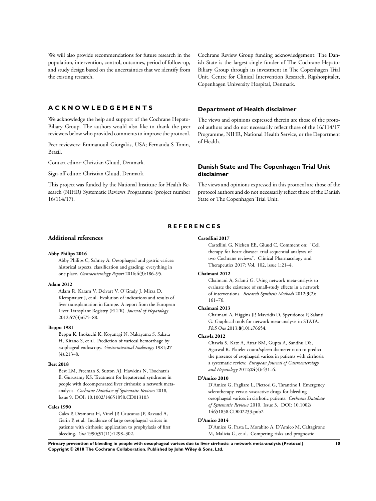<span id="page-11-0"></span>We will also provide recommendations for future research in the population, intervention, control, outcomes, period of follow-up, and study design based on the uncertainties that we identify from the existing research.

**A C K N O W L E D G E M E N T S**

We acknowledge the help and support of the Cochrane Hepato-Biliary Group. The authors would also like to thank the peer reviewers below who provided comments to improve the protocol.

Peer reviewers: Emmanouil Giorgakis, USA; Fernanda S Tonin, Brazil.

Contact editor: Christian Gluud, Denmark.

Sign-off editor: Christian Gluud, Denmark.

This project was funded by the National Institute for Health Research (NIHR) Systematic Reviews Programme (project number 16/114/17).

Cochrane Review Group funding acknowledgement: The Danish State is the largest single funder of The Cochrane Hepato-Biliary Group through its investment in The Copenhagen Trial Unit, Centre for Clinical Intervention Research, Rigshospitalet, Copenhagen University Hospital, Denmark.

## **Department of Health disclaimer**

The views and opinions expressed therein are those of the protocol authors and do not necessarily reflect those of the 16/114/17 Programme, NIHR, National Health Service, or the Department of Health.

# **Danish State and The Copenhagen Trial Unit disclaimer**

The views and opinions expressed in this protocol are those of the protocol authors and do not necessarily reflect those of the Danish State or The Copenhagen Trial Unit.

# **R E F E R E N C E S**

#### **Additional references**

#### **Abby Philips 2016**

Abby Philips C, Sahney A. Oesophageal and gastric varices: historical aspects, classification and grading: everything in one place. *Gastroenterology Report* 2016;**4**(3):186–95.

#### **Adam 2012**

Adam R, Karam V, Delvart V, O'Grady J, Mirza D, Klempnauer J, et al. Evolution of indications and results of liver transplantation in Europe. A report from the European Liver Transplant Registry (ELTR). *Journal of Hepatology* 2012;**57**(3):675–88.

# **Beppu 1981**

Beppu K, Inokuchi K, Koyanagi N, Nakayama S, Sakata H, Kitano S, et al. Prediction of variceal hemorrhage by esophageal endoscopy. *Gastrointestinal Endoscopy* 1981;**27**  $(4):213-8.$ 

## **Best 2018**

Best LM, Freeman S, Sutton AJ, Hawkins N, Tsochatzis E, Gurusamy KS. Treatment for hepatorenal syndrome in people with decompensated liver cirrhosis: a network metaanalysis. *Cochrane Database of Systematic Reviews* 2018, Issue 9. DOI: 10.1002/14651858.CD013103

#### **Cales 1990**

Cales P, Desmorat H, Vinel JP, Caucanas JP, Ravaud A, Gerin P, et al. Incidence of large oesophageal varices in patients with cirrhosis: application to prophylaxis of first bleeding. *Gut* 1990;**31**(11):1298–302.

#### **Castellini 2017**

Castellini G, Nielsen EE, Gluud C. Comment on: "Cell therapy for heart disease: trial sequential analyses of two Cochrane reviews". Clinical Pharmacology and Therapeutics 2017; Vol. 102, issue 1:21–4.

# **Chaimani 2012**

Chaimani A, Salanti G. Using network meta-analysis to evaluate the existence of small-study effects in a network of interventions. *Research Synthesis Methods* 2012;**3**(2): 161–76.

#### **Chaimani 2013**

Chaimani A, Higgins JP, Mavridis D, Spyridonos P, Salanti G. Graphical tools for network meta-analysis in STATA. *PloS One* 2013;**8**(10):e76654.

#### **Chawla 2012**

Chawla S, Katz A, Attar BM, Gupta A, Sandhu DS, Agarwal R. Platelet count/spleen diameter ratio to predict the presence of esophageal varices in patients with cirrhosis: a systematic review. *European Journal of Gastroenterology and Hepatology* 2012;**24**(4):431–6.

# **D'Amico 2010**

D'Amico G, Pagliaro L, Pietrosi G, Tarantino I. Emergency sclerotherapy versus vasoactive drugs for bleeding oesophageal varices in cirrhotic patients. *Cochrane Database of Systematic Reviews* 2010, Issue 3. DOI: 10.1002/ 14651858.CD002233.pub2

#### **D'Amico 2014**

D'Amico G, Pasta L, Morabito A, D'Amico M, Caltagirone M, Malizia G, et al. Competing risks and prognostic

**Primary prevention of bleeding in people with oesophageal varices due to liver cirrhosis: a network meta-analysis (Protocol) 10 Copyright © 2018 The Cochrane Collaboration. Published by John Wiley & Sons, Ltd.**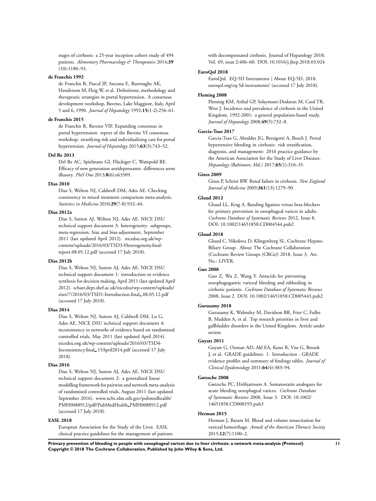stages of cirrhosis: a 25-year inception cohort study of 494 patients. *Alimentary Pharmacology & Therapeutics* 2014;**39** (10):1180–93.

# **de Franchis 1992**

de Franchis R, Pascal JP, Ancona E, Burroughs AK, Henderson M, Fleig W, et al. Definitions, methodology and therapeutic strategies in portal hypertension. A consensus development workshop, Baveno, Lake Maggiore, Italy, April 5 and 6, 1990. *Journal of Hepatology* 1992;**15**(1-2):256–61.

## **de Franchis 2015**

de Franchis R, Baveno VIF. Expanding consensus in portal hypertension: report of the Baveno VI consensus workshop: stratifying risk and individualizing care for portal hypertension. *Journal of Hepatology* 2015;**63**(3):743–52.

## **Del Re 2013**

Del Re AC, Spielmans GI, Flückiger C, Wampold BE. Efficacy of new generation antidepressants: differences seem illusory. *PloS One* 2013;**8**(6):e63509.

## **Dias 2010**

Dias S, Welton NJ, Caldwell DM, Ades AE. Checking consistency in mixed treatment comparison meta-analysis. *Statistics in Medicine* 2010;**29**(7-8):932–44.

## **Dias 2012a**

Dias S, Sutton AJ, Welton NJ, Ades AE. NICE DSU technical support document 3: heterogeneity: subgroups, meta-regression, bias and bias-adjustment, September 2011 (last updated April 2012). nicedsu.org.uk/wpcontent/uploads/2016/03/TSD3-Heterogeneity.finalreport.08.05.12.pdf (accessed 17 July 2018).

# **Dias 2012b**

Dias S, Welton NJ, Sutton AJ, Ades AE. NICE DSU technical support document 1: introduction to evidence synthesis for decision making, April 2011 (last updated April 2012). scharr.dept.shef.ac.uk/nicedsu/wp-content/uploads/ sites/7/2016/03/TSD1-Introduction.final .08.05.12.pdf (accessed 17 July 2018).

# **Dias 2014**

Dias S, Welton NJ, Sutton AJ, Caldwell DM, Lu G, Ades AE. NICE DSU technical support document 4: inconsistency in networks of evidence based on randomised controlled trials, May 2011 (last updated April 2014). nicedsu.org.uk/wp-content/uploads/2016/03/TSD4- Inconsistency.final .15April2014.pdf (accessed 17 July 2018).

# **Dias 2016**

Dias S, Welton NJ, Sutton AJ, Ades AE. NICE DSU technical support document 2: a generalised linear modelling framework for pairwise and network meta-analysis of randomised controlled trials, August 2011 (last updated September 2016). www.ncbi.nlm.nih.gov/pubmedhealth/ PMH0088912/pdf/PubMedHealth PMH0088912.pdf (accessed 17 July 2018).

## **EASL 2018**

European Association for the Study of the Liver. EASL clinical practice guidelines for the management of patients with decompensated cirrhosis. Journal of Hepatology 2018; Vol. 69, issue 2:406–60. DOI: 10.1016/j.jhep.2018.03.024

#### **EuroQol 2018**

EuroQol. EQ-5D Instruments | About EQ-5D, 2018. euroqol.org/eq-5d-instruments/ (accessed 17 July 2018).

#### **Fleming 2008**

Fleming KM, Aithal GP, Solaymani-Dodaran M, Card TR, West J. Incidence and prevalence of cirrhosis in the United Kingdom, 1992-2001: a general population-based study. *Journal of Hepatology* 2008;**49**(5):732–8.

#### **Garcia-Tsao 2017**

Garcia-Tsao G, Abraldes JG, Berzigotti A, Bosch J. Portal hypertensive bleeding in cirrhosis: risk stratification, diagnosis, and management: 2016 practice guidance by the American Association for the Study of Liver Diseases. *Hepatology (Baltimore, Md.)* 2017;**65**(1):310–35.

#### **Gines 2009**

Gines P, Schrier RW. Renal failure in cirrhosis. *New England Journal of Medicine* 2009;**361**(13):1279–90.

## **Gluud 2012**

Gluud LL, Krag A. Banding ligation versus beta-blockers for primary prevention in oesophageal varices in adults. *Cochrane Database of Systematic Reviews* 2012, Issue 8. DOI: 10.1002/14651858.CD004544.pub2

#### **Gluud 2018**

Gluud C, Nikolova D, Klingenberg SL. Cochrane Hepato-Biliary Group. About The Cochrane Collaboration (Cochrane Review Groups (CRGs)) 2018, Issue 3. Art. No.: LIVER.

# **Guo 2008**

Guo Z, Wu Z, Wang Y. Antacids for preventing oesophagogastric variceal bleeding and rebleeding in cirrhotic patients. *Cochrane Database of Systematic Reviews* 2008, Issue 2. DOI: 10.1002/14651858.CD005443.pub2

#### **Gurusamy 2018**

Gurusamy K, Walmsley M, Davidson BR, Frier C, Fuller B, Madden A, et al. Top research priorities in liver and gallbladder disorders in the United Kingdom. Article under review.

#### **Guyatt 2011**

Guyatt G, Oxman AD, Akl EA, Kunz R, Vist G, Brozek J, et al. GRADE guidelines: 1. Introduction - GRADE evidence profiles and summary of findings tables. *Journal of Clinical Epidemiology* 2011;**64**(4):383–94.

### **Gøtzsche 2008**

Gøtzsche PC, Hróbjartsson A. Somatostatin analogues for acute bleeding oesophageal varices. *Cochrane Database of Systematic Reviews* 2008, Issue 3. DOI: 10.1002/ 14651858.CD000193.pub3

# **Herman 2015**

Herman J, Baram M. Blood and volume resuscitation for variceal hemorrhage. *Annals of the American Thoracic Society* 2015;**12**(7):1100–2.

**Primary prevention of bleeding in people with oesophageal varices due to liver cirrhosis: a network meta-analysis (Protocol) 11 Copyright © 2018 The Cochrane Collaboration. Published by John Wiley & Sons, Ltd.**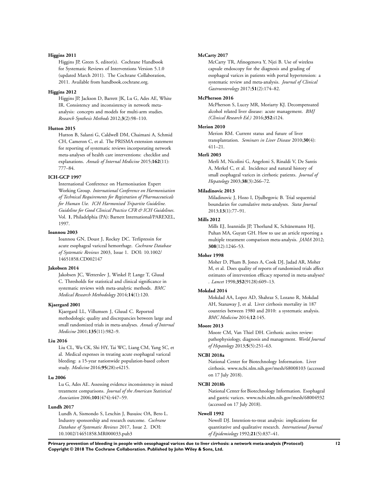## **Higgins 2011**

Higgins JP, Green S, editor(s). Cochrane Handbook for Systematic Reviews of Interventions Version 5.1.0 (updated March 2011). The Cochrane Collaboration, 2011. Available from handbook.cochrane.org.

#### **Higgins 2012**

Higgins JP, Jackson D, Barrett JK, Lu G, Ades AE, White IR. Consistency and inconsistency in network metaanalysis: concepts and models for multi-arm studies. *Research Synthesis Methods* 2012;**3**(2):98–110.

#### **Hutton 2015**

Hutton B, Salanti G, Caldwell DM, Chaimani A, Schmid CH, Cameron C, et al. The PRISMA extension statement for reporting of systematic reviews incorporating network meta-analyses of health care interventions: checklist and explanations. *Annals of Internal Medicine* 2015;**162**(11): 777–84.

## **ICH-GCP 1997**

International Conference on Harmonisation Expert Working Group. *International Conference on Harmonisation of Technical Requirements for Registration of Pharmaceuticals for Human Use. ICH Harmonised Tripartite Guideline. Guideline for Good Clinical Practice CFR & ICH Guidelines*. Vol. **1**, Philadelphia (PA): Barnett International/PAREXEL, 1997.

#### **Ioannou 2003**

Ioannou GN, Doust J, Rockey DC. Terlipressin for acute esophageal variceal hemorrhage. *Cochrane Database of Systematic Reviews* 2003, Issue 1. DOI: 10.1002/ 14651858.CD002147

#### **Jakobsen 2014**

Jakobsen JC, Wetterslev J, Winkel P, Lange T, Gluud C. Thresholds for statistical and clinical significance in systematic reviews with meta-analytic methods. *BMC Medical Research Methodology* 2014;**14**(1):120.

#### **Kjaergard 2001**

Kjaergard LL, Villumsen J, Gluud C. Reported methodologic quality and discrepancies between large and small randomized trials in meta-analyses. *Annals of Internal Medicine* 2001;**135**(11):982–9.

#### **Liu 2016**

Liu CL, Wu CK, Shi HY, Tai WC, Liang CM, Yang SC, et al. Medical expenses in treating acute esophageal variceal bleeding: a 15-year nationwide population-based cohort study. *Medicine* 2016;**95**(28):e4215.

#### **Lu 2006**

Lu G, Ades AE. Assessing evidence inconsistency in mixed treatment comparisons. *Journal of the American Statistical Association* 2006;**101**(474):447–59.

#### **Lundh 2017**

Lundh A, Sismondo S, Lexchin J, Busuioc OA, Bero L. Industry sponsorship and research outcome. *Cochrane Database of Systematic Reviews* 2017, Issue 2. DOI: 10.1002/14651858.MR000033.pub3

#### **McCarty 2017**

McCarty TR, Afinogenova Y, Njei B. Use of wireless capsule endoscopy for the diagnosis and grading of esophageal varices in patients with portal hypertension: a systematic review and meta-analysis. *Journal of Clinical Gastroenterology* 2017;**51**(2):174–82.

#### **McPherson 2016**

McPherson S, Lucey MR, Moriarty KJ. Decompensated alcohol related liver disease: acute management. *BMJ (Clinical Research Ed.)* 2016;**352**:i124.

## **Merion 2010**

Merion RM. Current status and future of liver transplantation. *Seminars in Liver Disease* 2010;**30**(4): 411–21.

#### **Merli 2003**

Merli M, Nicolini G, Angeloni S, Rinaldi V, De Santis A, Merkel C, et al. Incidence and natural history of small esophageal varices in cirrhotic patients. *Journal of Hepatology* 2003;**38**(3):266–72.

# **Miladinovic 2013**

Miladinovic J, Hozo I, Djulbegovic B. Trial sequential boundaries for cumulative meta-analyses. *Stata Journal* 2013;**13**(1):77–91.

#### **Mills 2012**

Mills EJ, Ioannidis JP, Thorlund K, Schünemann HJ, Puhan MA, Guyatt GH. How to use an article reporting a multiple treatment comparison meta-analysis. *JAMA* 2012; **308**(12):1246–53.

## **Moher 1998**

Moher D, Pham B, Jones A, Cook DJ, Jadad AR, Moher M, et al. Does quality of reports of randomised trials affect estimates of intervention efficacy reported in meta-analyses? . *Lancet* 1998;**352**(9128):609–13.

#### **Mokdad 2014**

Mokdad AA, Lopez AD, Shahraz S, Lozano R, Mokdad AH, Stanaway J, et al. Liver cirrhosis mortality in 187 countries between 1980 and 2010: a systematic analysis. *BMC Medicine* 2014;**12**:145.

## **Moore 2013**

Moore CM, Van Thiel DH. Cirrhotic ascites review: pathophysiology, diagnosis and management. *World Journal of Hepatology* 2013;**5**(5):251–63.

# **NCBI 2018a**

National Center for Biotechnology Information. Liver cirrhosis. www.ncbi.nlm.nih.gov/mesh/68008103 (accessed on 17 July 2018).

#### **NCBI 2018b**

National Center for Biotechnology Information. Esophageal and gastric varices. www.ncbi.nlm.nih.gov/mesh/68004932 (accessed on 17 July 2018).

# **Newell 1992**

Newell DJ. Intention-to-treat analysis: implications for quantitative and qualitative research. *International Journal of Epidemiology* 1992;**21**(5):837–41.

**Primary prevention of bleeding in people with oesophageal varices due to liver cirrhosis: a network meta-analysis (Protocol) 12 Copyright © 2018 The Cochrane Collaboration. Published by John Wiley & Sons, Ltd.**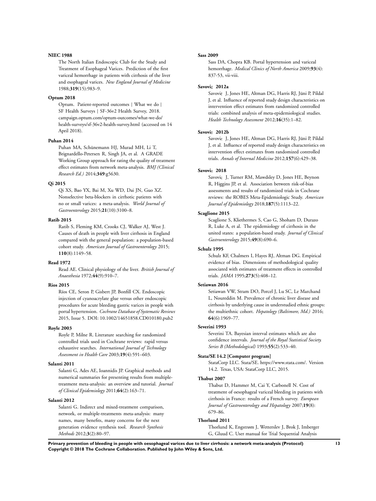#### **NIEC 1988**

The North Italian Endoscopic Club for the Study and Treatment of Esophageal Varices. Prediction of the first variceal hemorrhage in patients with cirrhosis of the liver and esophageal varices. *New England Journal of Medicine* 1988;**319**(15):983–9.

# **Optum 2018**

Optum. Patient-reported outcomes | What we do | SF Health Surveys | SF-36v2 Health Survey, 2018. campaign.optum.com/optum-outcomes/what-we-do/ health-surveys/sf-36v2-health-survey.html (accessed on 14 April 2018).

# **Puhan 2014**

Puhan MA, Schünemann HJ, Murad MH, Li T, Brignardello-Petersen R, Singh JA, et al. A GRADE Working Group approach for rating the quality of treatment effect estimates from network meta-analysis. *BMJ (Clinical Research Ed.)* 2014;**349**:g5630.

# **Qi 2015**

Qi XS, Bao YX, Bai M, Xu WD, Dai JN, Guo XZ. Nonselective beta-blockers in cirrhotic patients with no or small varices: a meta-analysis. *World Journal of Gastroenterology* 2015;**21**(10):3100–8.

# **Ratib 2015**

Ratib S, Fleming KM, Crooks CJ, Walker AJ, West J. Causes of death in people with liver cirrhosis in England compared with the general population: a population-based cohort study. *American Journal of Gastroenterology* 2015; **110**(8):1149–58.

#### **Read 1972**

Read AE. Clinical physiology of the liver. *British Journal of Anaesthesia* 1972;**44**(9):910–7.

## **Rios 2015**

Ríos CE, Seron P, Gisbert JP, Bonfill CX. Endoscopic injection of cyanoacrylate glue versus other endoscopic procedures for acute bleeding gastric varices in people with portal hypertension. *Cochrane Database of Systematic Reviews* 2015, Issue 5. DOI: 10.1002/14651858.CD010180.pub2

#### **Royle 2003**

Royle P, Milne R. Literature searching for randomized controlled trials used in Cochrane reviews: rapid versus exhaustive searches. *International Journal of Technology Assessment in Health Care* 2003;**19**(4):591–603.

## **Salanti 2011**

Salanti G, Ades AE, Ioannidis JP. Graphical methods and numerical summaries for presenting results from multipletreatment meta-analysis: an overview and tutorial. *Journal of Clinical Epidemiology* 2011;**64**(2):163–71.

#### **Salanti 2012**

Salanti G. Indirect and mixed-treatment comparison, network, or multiple-treatments meta-analysis: many names, many benefits, many concerns for the next generation evidence synthesis tool. *Research Synthesis Methods* 2012;**3**(2):80–97.

#### **Sass 2009**

Sass DA, Chopra KB. Portal hypertension and variceal hemorrhage. *Medical Clinics of North America* 2009;**93**(4): 837-53, vii-viii.

#### **Savovi 2012a**

Savovie J, Jones HE, Altman DG, Harris RJ, Jüni P, Pildal J, et al. Influence of reported study design characteristics on intervention effect estimates from randomized controlled trials: combined analysis of meta-epidemiological studies. *Health Technology Assessment* 2012;**16**(35):1–82.

#### **Savovi 2012b**

Savovic J, Jones HE, Altman DG, Harris RJ, Jüni P, Pildal J, et al. Influence of reported study design characteristics on intervention effect estimates from randomized controlled trials. *Annals of Internal Medicine* 2012;**157**(6):429–38.

#### **Savovi 2018**

Savović J, Turner RM, Mawdsley D, Jones HE, Beynon R, Higgins JP, et al. Association between risk-of-bias assessments and results of randomized trials in Cochrane reviews: the ROBES Meta-Epidemiologic Study. *American Journal of Epidemiology* 2018;**187**(5):1113–22.

#### **Scaglione 2015**

Scaglione S, Kliethermes S, Cao G, Shoham D, Durazo R, Luke A, et al. The epidemiology of cirrhosis in the united states: a population-based study. *Journal of Clinical Gastroenterology* 2015;**49**(8):690–6.

#### **Schulz 1995**

Schulz KF, Chalmers I, Hayes RJ, Altman DG. Empirical evidence of bias. Dimensions of methodological quality associated with estimates of treatment effects in controlled trials. *JAMA* 1995;**273**(5):408–12.

#### **Setiawan 2016**

Setiawan VW, Stram DO, Porcel J, Lu SC, Le Marchand L, Noureddin M. Prevalence of chronic liver disease and cirrhosis by underlying cause in understudied ethnic groups: the multiethnic cohort. *Hepatology (Baltimore, Md.)* 2016; **64**(6):1969–77.

#### **Severini 1993**

Severini TA. Bayesian interval estimates which are also confidence intervals. *Journal of the Royal Statistical Society. Series B (Methodological)* 1993;**55**(2):533–40.

#### **Stata/SE 14.2 [Computer program]**

StataCorp LLC. Stata/SE. https://www.stata.com/. Version 14.2. Texas, USA: StataCorp LLC, 2015.

#### **Thabut 2007**

Thabut D, Hammer M, Cai Y, Carbonell N. Cost of treatment of oesophageal variceal bleeding in patients with cirrhosis in France: results of a French survey. *European Journal of Gastroenterology and Hepatology* 2007;**19**(8): 679–86.

## **Thorlund 2011**

Thorlund K, Engstrøm J, Wetterslev J, Brok J, Imberger G, Gluud C. User manual for Trial Sequential Analysis

**Primary prevention of bleeding in people with oesophageal varices due to liver cirrhosis: a network meta-analysis (Protocol) 13 Copyright © 2018 The Cochrane Collaboration. Published by John Wiley & Sons, Ltd.**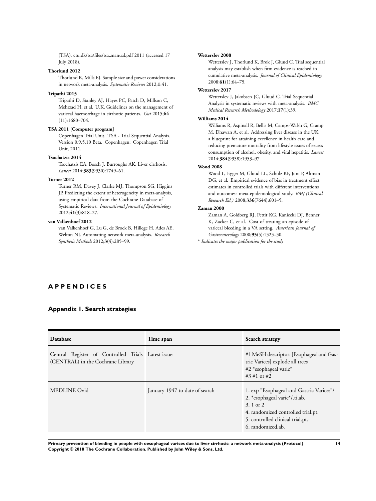<span id="page-15-0"></span>(TSA). ctu.dk/tsa/files/tsa manual.pdf 2011 (accessed 17 July 2018).

## **Thorlund 2012**

Thorlund K, Mills EJ. Sample size and power considerations in network meta-analysis. *Systematic Reviews* 2012;**1**:41.

# **Tripathi 2015**

Tripathi D, Stanley AJ, Hayes PC, Patch D, Millson C, Mehrzad H, et al. U.K. Guidelines on the management of variceal haemorrhage in cirrhotic patients. *Gut* 2015;**64** (11):1680–704.

# **TSA 2011 [Computer program]**

Copenhagen Trial Unit. TSA - Trial Sequential Analysis. Version 0.9.5.10 Beta. Copenhagen: Copenhagen Trial Unit, 2011.

#### **Tsochatzis 2014**

Tsochatzis EA, Bosch J, Burroughs AK. Liver cirrhosis. *Lancet* 2014;**383**(9930):1749–61.

# **Turner 2012**

Turner RM, Davey J, Clarke MJ, Thompson SG, Higgins JP. Predicting the extent of heterogeneity in meta-analysis, using empirical data from the Cochrane Database of Systematic Reviews. *International Journal of Epidemiology* 2012;**41**(3):818–27.

# **van Valkenhoef 2012**

van Valkenhoef G, Lu G, de Brock B, Hillege H, Ades AE, Welton NJ. Automating network meta-analysis. *Research Synthesis Methods* 2012;**3**(4):285–99.

#### **Wetterslev 2008**

Wetterslev J, Thorlund K, Brok J, Gluud C. Trial sequential analysis may establish when firm evidence is reached in cumulative meta-analysis. *Journal of Clinical Epidemiology* 2008;**61**(1):64–75.

#### **Wetterslev 2017**

Wetterslev J, Jakobsen JC, Gluud C. Trial Sequential Analysis in systematic reviews with meta-analysis. *BMC Medical Research Methodology* 2017;**17**(1):39.

#### **Williams 2014**

Williams R, Aspinall R, Bellis M, Camps-Walsh G, Cramp M, Dhawan A, et al. Addressing liver disease in the UK: a blueprint for attaining excellence in health care and reducing premature mortality from lifestyle issues of excess consumption of alcohol, obesity, and viral hepatitis. *Lancet* 2014;**384**(9958):1953–97.

# **Wood 2008**

Wood L, Egger M, Gluud LL, Schulz KF, Juni P, Altman DG, et al. Empirical evidence of bias in treatment effect estimates in controlled trials with different interventions and outcomes: meta-epidemiological study. *BMJ (Clinical Research Ed.)* 2008;**336**(7644):601–5.

# **Zaman 2000**

Zaman A, Goldberg RJ, Pettit KG, Kaniecki DJ, Benner K, Zacker C, et al. Cost of treating an episode of variceal bleeding in a VA setting. *American Journal of Gastroenterology* 2000;**95**(5):1323–30.

∗ *Indicates the major publication for the study*

# **A P P E N D I C E S**

# **Appendix 1. Search strategies**

| <b>Database</b>                                                                         | Time span                      | Search strategy                                                                                                                                                                       |
|-----------------------------------------------------------------------------------------|--------------------------------|---------------------------------------------------------------------------------------------------------------------------------------------------------------------------------------|
| Central Register of Controlled Trials Latest issue<br>(CENTRAL) in the Cochrane Library |                                | #1 MeSH descriptor: [Esophageal and Gas-<br>tric Varices] explode all trees<br>#2 *esophageal varic*<br>#3 #1 or #2                                                                   |
| <b>MEDLINE</b> Ovid                                                                     | January 1947 to date of search | 1. exp "Esophageal and Gastric Varices"/<br>2. *esophageal varic*/.ti,ab.<br>3. 1 or 2<br>4. randomized controlled trial.pt.<br>5. controlled clinical trial.pt.<br>6. randomized.ab. |

**Primary prevention of bleeding in people with oesophageal varices due to liver cirrhosis: a network meta-analysis (Protocol) 14 Copyright © 2018 The Cochrane Collaboration. Published by John Wiley & Sons, Ltd.**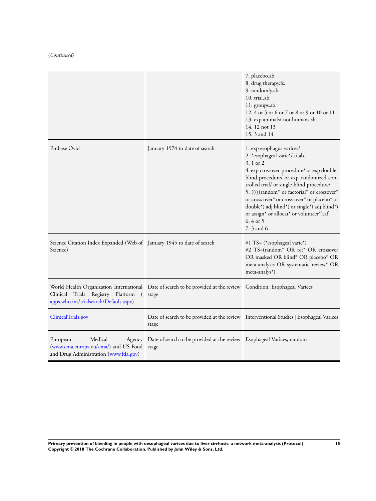# (*Continued)*

|                                                                                                      |                                                                                                                            | 7. placebo.ab.<br>8. drug therapy.fs.<br>9. randomly.ab.<br>10. trial.ab.<br>11. groups.ab.<br>12.4 or 5 or 6 or 7 or 8 or 9 or 10 or 11<br>13. exp animals/ not humans.sh.<br>14.12 not 13<br>15.3 and 14                                                                                                                                                                                                                         |
|------------------------------------------------------------------------------------------------------|----------------------------------------------------------------------------------------------------------------------------|------------------------------------------------------------------------------------------------------------------------------------------------------------------------------------------------------------------------------------------------------------------------------------------------------------------------------------------------------------------------------------------------------------------------------------|
| Embase Ovid                                                                                          | January 1974 to date of search                                                                                             | 1. exp esophagus varices/<br>2. *esophageal varic*/.ti,ab.<br>3. 1 or 2<br>4. exp crossover-procedure/ or exp double-<br>blind procedure/ or exp randomized con-<br>trolled trial/ or single-blind procedure/<br>5. (((((random* or factorial* or crossover*<br>or cross over* or cross-over* or placebo* or<br>double*) adj blind*) or single*) adj blind*)<br>or assign* or allocat* or volunteer*).af<br>6.4 or 5<br>7. 3 and 6 |
| Science Citation Index Expanded (Web of January 1945 to date of search<br>Science)                   |                                                                                                                            | #1 TS= (*esophageal varic*)<br>#2 TS=(random* OR rct* OR crossover<br>OR masked OR blind* OR placebo* OR<br>meta-analysis OR systematic review* OR<br>meta-analys*)                                                                                                                                                                                                                                                                |
| Registry Platform<br>Clinical<br>Trials<br>$\left($<br>apps.who.int/trialsearch/Default.aspx)        | World Health Organization International Date of search to be provided at the review Condition: Esophageal Varices<br>stage |                                                                                                                                                                                                                                                                                                                                                                                                                                    |
| ClinicalTrials.gov                                                                                   | stage                                                                                                                      | Date of search to be provided at the review Interventional Studies   Esophageal Varices                                                                                                                                                                                                                                                                                                                                            |
| Medical<br>European<br>(www.ema.europa.eu/ema/) and US Food<br>and Drug Administration (www.fda.gov) | Agency Date of search to be provided at the review Esophageal Varices; random<br>stage                                     |                                                                                                                                                                                                                                                                                                                                                                                                                                    |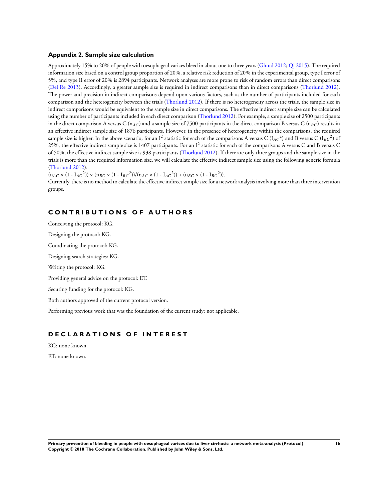# <span id="page-17-0"></span>**Appendix 2. Sample size calculation**

Approximately 15% to 20% of people with oesophageal varices bleed in about one to three years [\(Gluud 2012;](#page-11-0) [Qi 2015](#page-11-0)). The required information size based on a control group proportion of 20%, a relative risk reduction of 20% in the experimental group, type I error of 5%, and type II error of 20% is 2894 participants. Network analyses are more prone to risk of random errors than direct comparisons [\(Del Re 2013\)](#page-11-0). Accordingly, a greater sample size is required in indirect comparisons than in direct comparisons [\(Thorlund 2012](#page-11-0)). The power and precision in indirect comparisons depend upon various factors, such as the number of participants included for each comparison and the heterogeneity between the trials ([Thorlund 2012](#page-11-0)). If there is no heterogeneity across the trials, the sample size in indirect comparisons would be equivalent to the sample size in direct comparisons. The effective indirect sample size can be calculated using the number of participants included in each direct comparison ([Thorlund 2012\)](#page-11-0). For example, a sample size of 2500 participants in the direct comparison A versus C ( $n_{AC}$ ) and a sample size of 7500 participants in the direct comparison B versus C ( $n_{BC}$ ) results in an effective indirect sample size of 1876 participants. However, in the presence of heterogeneity within the comparisons, the required sample size is higher. In the above scenario, for an I<sup>2</sup> statistic for each of the comparisons A versus C (I<sub>AC</sub><sup>2</sup>) and B versus C (I<sub>BC</sub><sup>2</sup>) of 25%, the effective indirect sample size is 1407 participants. For an  $I^2$  statistic for each of the comparisons A versus C and B versus C of 50%, the effective indirect sample size is 938 participants [\(Thorlund 2012](#page-11-0)). If there are only three groups and the sample size in the trials is more than the required information size, we will calculate the effective indirect sample size using the following generic formula [\(Thorlund 2012](#page-11-0)):

 $(n_{AC} \times (1 - I_{AC}^2)) \times (n_{BC} \times (1 - I_{BC}^2)) / (n_{AC} \times (1 - I_{AC}^2)) + (n_{BC} \times (1 - I_{BC}^2)).$ 

Currently, there is no method to calculate the effective indirect sample size for a network analysis involving more than three intervention groups.

# **C O N T R I B U T I O N S O F A U T H O R S**

Conceiving the protocol: KG.

Designing the protocol: KG.

Coordinating the protocol: KG.

Designing search strategies: KG.

Writing the protocol: KG.

Providing general advice on the protocol: ET.

Securing funding for the protocol: KG.

Both authors approved of the current protocol version.

Performing previous work that was the foundation of the current study: not applicable.

# **D E C L A R A T I O N S O F I N T E R E S T**

KG: none known.

ET: none known.